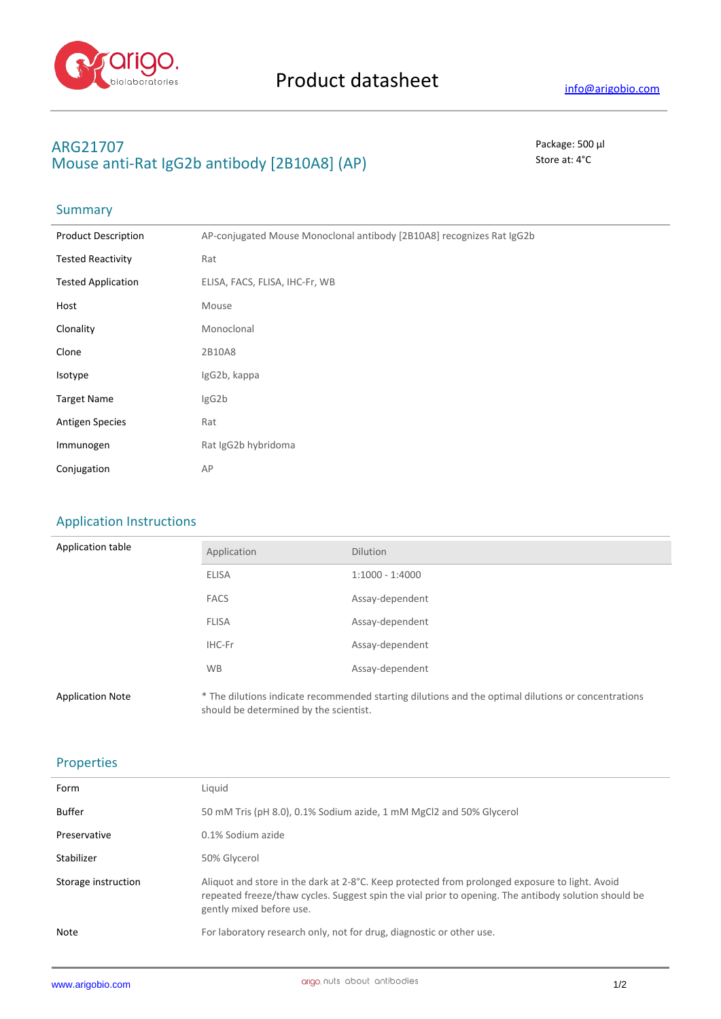

# **ARG21707** Package: 500 μl **Mouse anti-Rat IgG2b antibody [2B10A8] (AP)** Store at: 4°C

# Summary

| <b>Product Description</b> | AP-conjugated Mouse Monoclonal antibody [2B10A8] recognizes Rat IgG2b |
|----------------------------|-----------------------------------------------------------------------|
| <b>Tested Reactivity</b>   | Rat                                                                   |
| <b>Tested Application</b>  | ELISA, FACS, FLISA, IHC-Fr, WB                                        |
| Host                       | Mouse                                                                 |
| Clonality                  | Monoclonal                                                            |
| Clone                      | 2B10A8                                                                |
| Isotype                    | IgG2b, kappa                                                          |
| <b>Target Name</b>         | IgG2b                                                                 |
| <b>Antigen Species</b>     | Rat                                                                   |
| Immunogen                  | Rat IgG2b hybridoma                                                   |
| Conjugation                | AP                                                                    |

## Application Instructions

| Application table       | Application                            | <b>Dilution</b>                                                                                     |
|-------------------------|----------------------------------------|-----------------------------------------------------------------------------------------------------|
|                         | <b>ELISA</b>                           | $1:1000 - 1:4000$                                                                                   |
|                         | <b>FACS</b>                            | Assay-dependent                                                                                     |
|                         | <b>FLISA</b>                           | Assay-dependent                                                                                     |
|                         | IHC-Fr                                 | Assay-dependent                                                                                     |
|                         | <b>WB</b>                              | Assay-dependent                                                                                     |
| <b>Application Note</b> | should be determined by the scientist. | * The dilutions indicate recommended starting dilutions and the optimal dilutions or concentrations |

### Properties

| Form                | Liquid                                                                                                                                                                                                                             |
|---------------------|------------------------------------------------------------------------------------------------------------------------------------------------------------------------------------------------------------------------------------|
| Buffer              | 50 mM Tris (pH 8.0), 0.1% Sodium azide, 1 mM MgCl2 and 50% Glycerol                                                                                                                                                                |
| Preservative        | 0.1% Sodium azide                                                                                                                                                                                                                  |
| Stabilizer          | 50% Glycerol                                                                                                                                                                                                                       |
| Storage instruction | Aliquot and store in the dark at 2-8°C. Keep protected from prolonged exposure to light. Avoid<br>repeated freeze/thaw cycles. Suggest spin the vial prior to opening. The antibody solution should be<br>gently mixed before use. |
| Note                | For laboratory research only, not for drug, diagnostic or other use.                                                                                                                                                               |